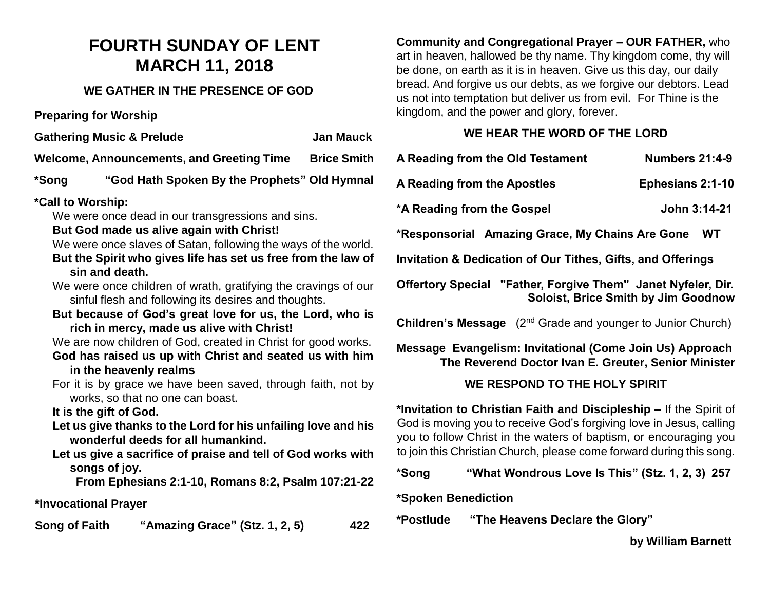# **FOURTH SUNDAY OF LENT MARCH 11, 2018**

# **WE GATHER IN THE PRESENCE OF GOD**

**Preparing for Worship**

**Gathering Music & Prelude Cathering Music & Prelude** Jan Mauck

**Welcome, Announcements, and Greeting Time Briggs** 

**\*Song "God Hath Spoken By the Prophets" Old Hymnal**

# **\*Call to Worship:**

We were once dead in our transgressions and sins.

# **But God made us alive again with Christ!**

We were once slaves of Satan, following the ways of **But the Spirit who gives life has set us free from the law of**  $\theta$ **sin and death.** 

- We were once children of wrath, gratifying the craving sinful flesh and following its desires and thoughts.
- But because of God's great love for us, the Lord **rich in mercy, made us alive with Christ!**

We are now children of God, created in Christ for good God has raised us up with Christ and seated us **in the heavenly realms** 

For it is by grace we have been saved, through fait works, so that no one can boast.

**It is the gift of God.**

Let us give thanks to the Lord for his unfailing love **wonderful deeds for all humankind.**

**Let us give a sacrifice of praise and tell of God works with songs of joy.**

**From Ephesians 2:1-10, Romans 8:2, Psalm 107:21-22**

# **\*Invocational Prayer**

**Song of Faith "Amazing Grace" (Stz. 1, 2, 5) 422**

**Community and Congregational Prayer – OUR FATHER,** who art in heaven, hallowed be thy name. Thy kingdom come, thy will be done, on earth as it is in heaven. Give us this day, our daily bread. And forgive us our debts, as we forgive our debtors. Lead us not into temptation but deliver us from evil. For Thine is the kingdom, and the power and glory, forever.

# **WE HEAR THE WORD OF THE LORD**

| ice Smith               | A Reading from the Old Testament                                                                                                                                                                               | <b>Numbers 21:4-9</b>   |
|-------------------------|----------------------------------------------------------------------------------------------------------------------------------------------------------------------------------------------------------------|-------------------------|
| d Hymnal                | A Reading from the Apostles                                                                                                                                                                                    | <b>Ephesians 2:1-10</b> |
|                         | *A Reading from the Gospel                                                                                                                                                                                     | John 3:14-21            |
| the world.<br>he law of | *Responsorial Amazing Grace, My Chains Are Gone                                                                                                                                                                | <b>WT</b>               |
|                         | Invitation & Dedication of Our Tithes, Gifts, and Offerings                                                                                                                                                    |                         |
| າgs of our              | Offertory Special "Father, Forgive Them" Janet Nyfeler, Dir.<br><b>Soloist, Brice Smith by Jim Goodnow</b><br><b>Children's Message</b> (2 <sup>nd</sup> Grade and younger to Junior Church)                   |                         |
| d, who is               |                                                                                                                                                                                                                |                         |
| od works.<br>with him   | Message Evangelism: Invitational (Come Join Us) Approach<br>The Reverend Doctor Ivan E. Greuter, Senior Minister                                                                                               |                         |
| th, not by              | WE RESPOND TO THE HOLY SPIRIT                                                                                                                                                                                  |                         |
| e and his               | *Invitation to Christian Faith and Discipleship – If the Spirit of<br>God is moving you to receive God's forgiving love in Jesus, calling<br>you to follow Christ in the waters of baptism, or encouraging you |                         |

to join this Christian Church, please come forward during this song. **\*Song "What Wondrous Love Is This" (Stz. 1, 2, 3) 257**

## **\*Spoken Benediction**

**\*Postlude "The Heavens Declare the Glory"** 

 **by William Barnett**